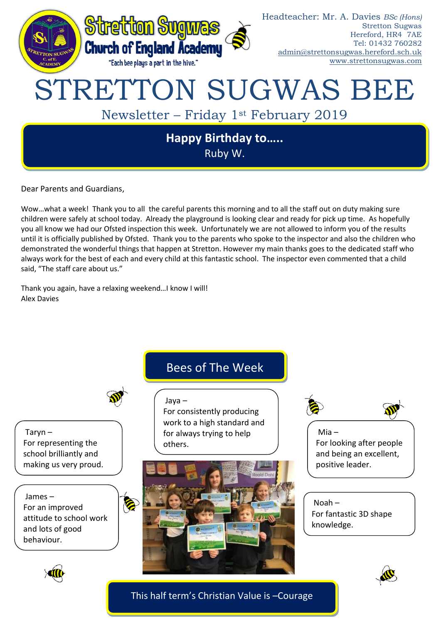

Dear Parents and Guardians,

Wow…what a week! Thank you to all the careful parents this morning and to all the staff out on duty making sure children were safely at school today. Already the playground is looking clear and ready for pick up time. As hopefully you all know we had our Ofsted inspection this week. Unfortunately we are not allowed to inform you of the results until it is officially published by Ofsted. Thank you to the parents who spoke to the inspector and also the children who demonstrated the wonderful things that happen at Stretton. However my main thanks goes to the dedicated staff who always work for the best of each and every child at this fantastic school. The inspector even commented that a child said, "The staff care about us."

Thank you again, have a relaxing weekend…I know I will! Alex Davies

## Bees of The Week

Taryn – For representing the school brilliantly and making us very proud.

James – For an improved attitude to school work and lots of good behaviour.







Mia – For looking after people and being an excellent, positive leader.

Noah – For fantastic 3D shape knowledge.





This half term's Christian Value is –Courage